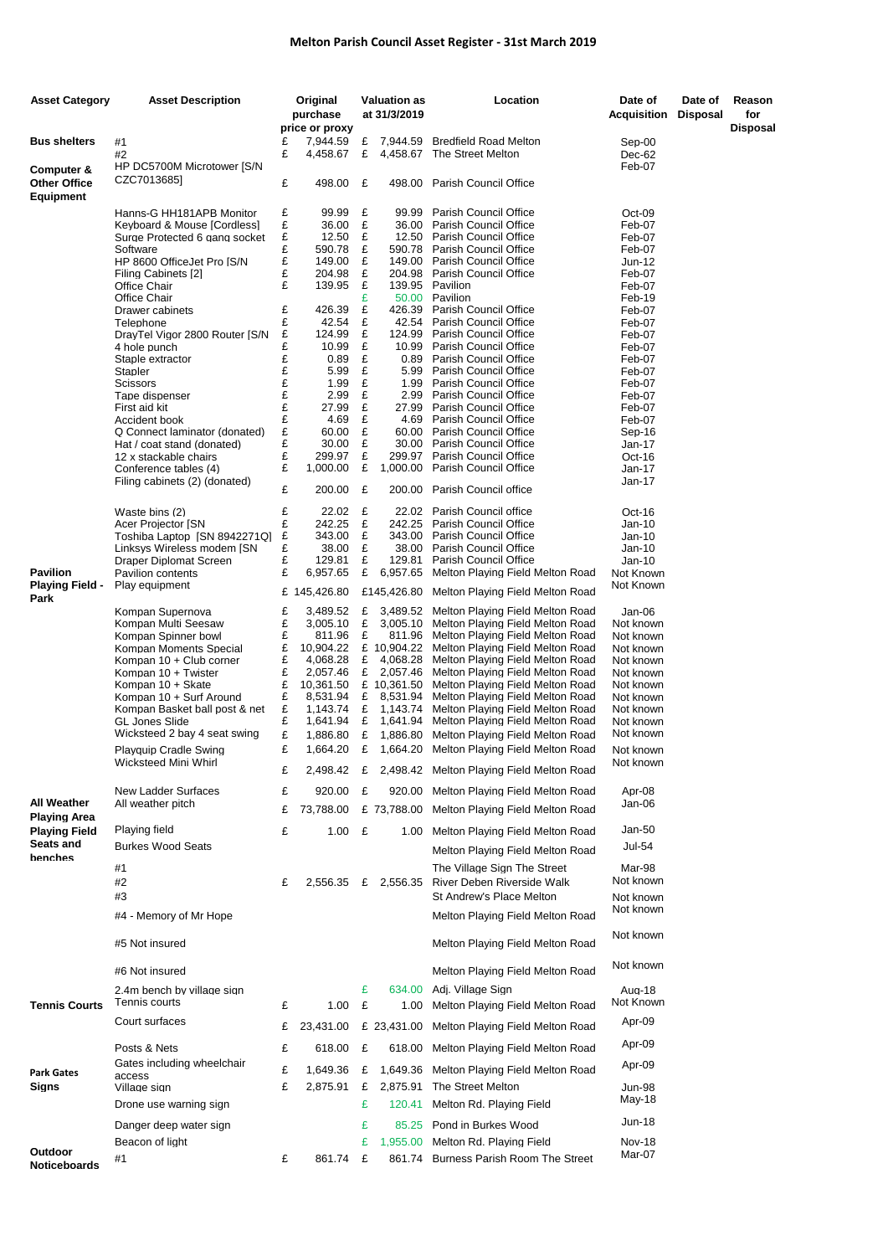## **Melton Parish Council Asset Register - 31st March 2019**

| <b>Asset Category</b>      | <b>Asset Description</b>                                |        | Original              |        | <b>Valuation as</b> | Location                                                                                | Date of                | Date of         | Reason   |
|----------------------------|---------------------------------------------------------|--------|-----------------------|--------|---------------------|-----------------------------------------------------------------------------------------|------------------------|-----------------|----------|
|                            |                                                         |        | purchase              |        | at 31/3/2019        |                                                                                         | Acquisition            | <b>Disposal</b> | for      |
|                            |                                                         |        | price or proxy        |        |                     |                                                                                         |                        |                 | Disposal |
| <b>Bus shelters</b>        | #1                                                      | £      | 7,944.59              |        |                     | £ 7,944.59 Bredfield Road Melton                                                        | Sep-00                 |                 |          |
|                            | #2                                                      | £      | 4,458.67              | £      |                     | 4,458.67 The Street Melton                                                              | Dec-62                 |                 |          |
| Computer &<br>Other Office | HP DC5700M Microtower [S/N<br>CZC70136851               | £      | 498.00                | £      |                     | 498.00 Parish Council Office                                                            | Feb-07                 |                 |          |
| Equipment                  |                                                         |        |                       |        |                     |                                                                                         |                        |                 |          |
|                            | Hanns-G HH181APB Monitor<br>Keyboard & Mouse [Cordless] | £<br>£ | 99.99<br>36.00        | £<br>£ | 99.99<br>36.00      | <b>Parish Council Office</b><br>Parish Council Office                                   | Oct-09<br>Feb-07       |                 |          |
|                            | Surge Protected 6 gang socket                           | £      | 12.50                 | £      |                     | 12.50 Parish Council Office                                                             | Feb-07                 |                 |          |
|                            | Software                                                | £      | 590.78                | £      |                     | 590.78 Parish Council Office                                                            | Feb-07                 |                 |          |
|                            | HP 8600 OfficeJet Pro [S/N                              | £      | 149.00                | £      |                     | 149.00 Parish Council Office                                                            | Jun-12                 |                 |          |
|                            | Filing Cabinets [2]                                     | £      | 204.98                | £      |                     | 204.98 Parish Council Office                                                            | Feb-07                 |                 |          |
|                            | Office Chair                                            | £      | 139.95                | £      |                     | 139.95 Pavilion                                                                         | Feb-07                 |                 |          |
|                            | Office Chair                                            |        |                       | £      |                     | 50.00 Pavilion                                                                          | Feb-19                 |                 |          |
|                            | Drawer cabinets                                         | £      | 426.39                | £      | 426.39              | <b>Parish Council Office</b>                                                            | Feb-07                 |                 |          |
|                            | Telephone                                               | £      | 42.54                 | £      |                     | 42.54 Parish Council Office                                                             | Feb-07                 |                 |          |
|                            | DrayTel Vigor 2800 Router [S/N                          | £      | 124.99                | £      |                     | 124.99 Parish Council Office                                                            | Feb-07                 |                 |          |
|                            | 4 hole punch                                            | £      | 10.99                 | £      |                     | 10.99 Parish Council Office                                                             | Feb-07                 |                 |          |
|                            | Staple extractor                                        | £      | 0.89                  | £      |                     | 0.89 Parish Council Office                                                              | Feb-07                 |                 |          |
|                            | Stapler                                                 | £      | 5.99                  | £      |                     | 5.99 Parish Council Office                                                              | Feb-07                 |                 |          |
|                            | <b>Scissors</b>                                         | £<br>£ | 1.99<br>2.99          | £<br>£ | 2.99                | 1.99 Parish Council Office                                                              | Feb-07                 |                 |          |
|                            | Tape dispenser<br>First aid kit                         | £      | 27.99                 | £      |                     | <b>Parish Council Office</b><br>27.99 Parish Council Office                             | Feb-07<br>Feb-07       |                 |          |
|                            | Accident book                                           | £      | 4.69                  | £      |                     | 4.69 Parish Council Office                                                              | Feb-07                 |                 |          |
|                            | Q Connect laminator (donated)                           | £      | 60.00                 | £      |                     | 60.00 Parish Council Office                                                             | Sep-16                 |                 |          |
|                            | Hat / coat stand (donated)                              | £      | 30.00                 | £      | 30.00               | <b>Parish Council Office</b>                                                            | Jan-17                 |                 |          |
|                            | 12 x stackable chairs                                   | £      | 299.97                | £      |                     | 299.97 Parish Council Office                                                            | Oct-16                 |                 |          |
|                            | Conference tables (4)                                   | £      | 1,000.00              | £      | 1,000.00            | Parish Council Office                                                                   | Jan-17                 |                 |          |
|                            | Filing cabinets (2) (donated)                           |        |                       |        |                     |                                                                                         | Jan-17                 |                 |          |
|                            |                                                         | £      | 200.00                | £      | 200.00              | Parish Council office                                                                   |                        |                 |          |
|                            | Waste bins (2)                                          | £      | 22.02                 | £      |                     | 22.02 Parish Council office                                                             | Oct-16                 |                 |          |
|                            | Acer Projector [SN                                      | £      | 242.25                | £      |                     | 242.25 Parish Council Office                                                            | Jan-10                 |                 |          |
|                            | Toshiba Laptop [SN 8942271Q]                            | £      | 343.00                | £      | 343.00              | <b>Parish Council Office</b>                                                            | Jan-10                 |                 |          |
|                            | Linksys Wireless modem [SN                              | £      | 38.00                 | £      | 38.00               | Parish Council Office                                                                   | Jan-10                 |                 |          |
|                            | Draper Diplomat Screen                                  | £      | 129.81                | £      | 129.81              | Parish Council Office                                                                   | Jan-10                 |                 |          |
| Pavilion                   | Pavilion contents                                       | £      | 6,957.65              | £      | 6,957.65            | Melton Playing Field Melton Road                                                        | Not Known              |                 |          |
| Playing Field -            | Play equipment                                          |        | £ 145,426.80          |        | £145,426.80         | Melton Playing Field Melton Road                                                        | Not Known              |                 |          |
| Park                       |                                                         |        |                       |        |                     |                                                                                         |                        |                 |          |
|                            | Kompan Supernova                                        | £      | 3,489.52              | £      |                     | 3,489.52 Melton Playing Field Melton Road                                               | Jan-06                 |                 |          |
|                            | Kompan Multi Seesaw                                     | £      | 3,005.10              | £      |                     | 3,005.10 Melton Playing Field Melton Road                                               | Not known              |                 |          |
|                            | Kompan Spinner bowl                                     | £<br>£ | 811.96                | £      |                     | 811.96 Melton Playing Field Melton Road<br>£ 10,904.22 Melton Playing Field Melton Road | Not known              |                 |          |
|                            | Kompan Moments Special<br>Kompan 10 + Club corner       | £      | 10,904.22<br>4,068.28 | £      |                     | 4,068.28 Melton Playing Field Melton Road                                               | Not known<br>Not known |                 |          |
|                            | Kompan 10 + Twister                                     | £      | 2,057.46              | £      |                     | 2,057.46 Melton Playing Field Melton Road                                               | Not known              |                 |          |
|                            | Kompan 10 + Skate                                       | £      | 10,361.50             |        |                     | £ 10,361.50 Melton Playing Field Melton Road                                            | Not known              |                 |          |
|                            | Kompan 10 + Surf Around                                 | £      | 8,531.94              | £      |                     | 8,531.94 Melton Playing Field Melton Road                                               | Not known              |                 |          |
|                            | Kompan Basket ball post & net                           | £      | 1,143.74              | £      | 1,143.74            | Melton Playing Field Melton Road                                                        | Not known              |                 |          |
|                            | <b>GL Jones Slide</b>                                   | £      | 1,641.94              | £      |                     | 1,641.94 Melton Playing Field Melton Road                                               | Not known              |                 |          |
|                            | Wicksteed 2 bay 4 seat swing                            | £      | 1,886.80              | £      |                     | 1,886.80 Melton Playing Field Melton Road                                               | Not known              |                 |          |
|                            | <b>Playquip Cradle Swing</b>                            | £      | 1.664.20              | £      |                     | 1,664.20 Melton Playing Field Melton Road                                               | Not known              |                 |          |
|                            | Wicksteed Mini Whirl                                    |        |                       |        |                     |                                                                                         | Not known              |                 |          |
|                            | New Ladder Surfaces                                     | £<br>£ | 2,498.42<br>920.00    | £      | 920.00              | £ 2,498.42 Melton Playing Field Melton Road<br>Melton Playing Field Melton Road         | Apr-08                 |                 |          |
| All Weather                | All weather pitch                                       | £      | 73,788.00             |        | £ 73,788.00         | Melton Playing Field Melton Road                                                        | Jan-06                 |                 |          |
| Playing Area               |                                                         |        |                       |        |                     |                                                                                         |                        |                 |          |
| Playing Field              | Playing field                                           | £      | 1.00                  | £      | 1.00                | Melton Playing Field Melton Road                                                        | Jan-50                 |                 |          |
| Seats and                  | <b>Burkes Wood Seats</b>                                |        |                       |        |                     | Melton Playing Field Melton Road                                                        | <b>Jul-54</b>          |                 |          |
| benches                    | #1                                                      |        |                       |        |                     | The Village Sign The Street                                                             | Mar-98                 |                 |          |
|                            | #2                                                      | £      | 2,556.35              |        | £ 2,556.35          | River Deben Riverside Walk                                                              | Not known              |                 |          |
|                            | #3                                                      |        |                       |        |                     | St Andrew's Place Melton                                                                |                        |                 |          |
|                            |                                                         |        |                       |        |                     |                                                                                         | Not known<br>Not known |                 |          |
|                            | #4 - Memory of Mr Hope                                  |        |                       |        |                     | Melton Playing Field Melton Road                                                        | Not known              |                 |          |
|                            | #5 Not insured                                          |        |                       |        |                     | Melton Playing Field Melton Road                                                        |                        |                 |          |
|                            | #6 Not insured                                          |        |                       |        |                     | Melton Playing Field Melton Road                                                        | Not known              |                 |          |
|                            | 2.4m bench by village sign                              |        |                       | £      | 634.00              | Adj. Village Sign                                                                       | Aug-18                 |                 |          |
| <b>Tennis Courts</b>       | Tennis courts                                           | £      | 1.00                  | £      | 1.00                | Melton Playing Field Melton Road                                                        | Not Known              |                 |          |
|                            | Court surfaces                                          | £      | 23,431.00             |        | £ 23,431.00         | Melton Playing Field Melton Road                                                        | Apr-09                 |                 |          |
|                            | Posts & Nets                                            | £      | 618.00                | £      | 618.00              | Melton Playing Field Melton Road                                                        | Apr-09                 |                 |          |
|                            | Gates including wheelchair                              |        |                       |        |                     |                                                                                         | Apr-09                 |                 |          |
| Park Gates<br>Signs        | access                                                  | £      | 1,649.36              | £      | 1,649.36            | Melton Playing Field Melton Road                                                        |                        |                 |          |
|                            | Village sign                                            | £      | 2,875.91              | £      | 2,875.91            | The Street Melton                                                                       | Jun-98                 |                 |          |
|                            | Drone use warning sign                                  |        |                       | £      | 120.41              | Melton Rd. Playing Field                                                                | May-18                 |                 |          |
|                            |                                                         |        |                       |        |                     |                                                                                         | Jun-18                 |                 |          |
|                            | Danger deep water sign                                  |        |                       | £      | 85.25               | Pond in Burkes Wood                                                                     |                        |                 |          |
| Outdoor                    | Beacon of light                                         |        |                       | £      | 1,955.00            | Melton Rd. Playing Field                                                                | <b>Nov-18</b>          |                 |          |
| Noticeboards               | #1                                                      | £      | 861.74                | £      |                     | 861.74 Burness Parish Room The Street                                                   | Mar-07                 |                 |          |
|                            |                                                         |        |                       |        |                     |                                                                                         |                        |                 |          |